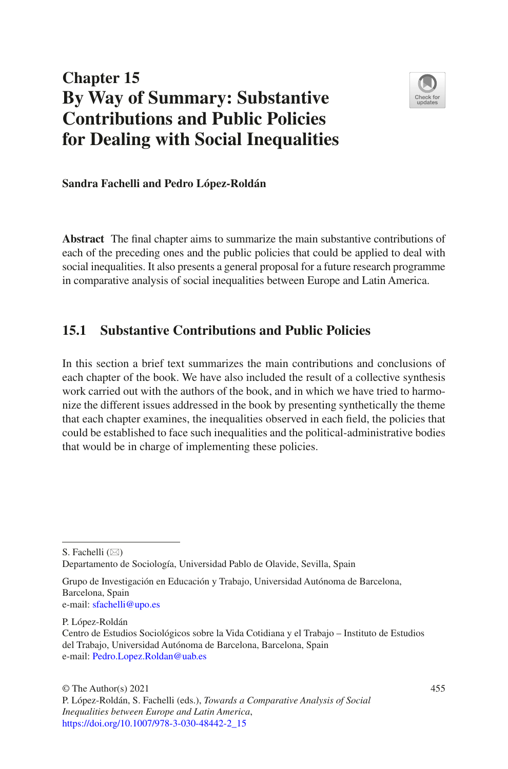# **Chapter 15 By Way of Summary: Substantive Contributions and Public Policies for Dealing with Social Inequalities**



**Sandra Fachelli and Pedro López-Roldán**

**Abstract** The final chapter aims to summarize the main substantive contributions of each of the preceding ones and the public policies that could be applied to deal with social inequalities. It also presents a general proposal for a future research programme in comparative analysis of social inequalities between Europe and Latin America.

# **15.1 Substantive Contributions and Public Policies**

In this section a brief text summarizes the main contributions and conclusions of each chapter of the book. We have also included the result of a collective synthesis work carried out with the authors of the book, and in which we have tried to harmonize the different issues addressed in the book by presenting synthetically the theme that each chapter examines, the inequalities observed in each field, the policies that could be established to face such inequalities and the political-administrative bodies that would be in charge of implementing these policies.

P. López-Roldán

S. Fachelli  $(\boxtimes)$ 

Departamento de Sociología, Universidad Pablo de Olavide, Sevilla, Spain

Grupo de Investigación en Educación y Trabajo, Universidad Autónoma de Barcelona, Barcelona, Spain e-mail: [sfachelli@upo.es](mailto:sfachelli@upo.es)

Centro de Estudios Sociológicos sobre la Vida Cotidiana y el Trabajo – Instituto de Estudios del Trabajo, Universidad Autónoma de Barcelona, Barcelona, Spain e-mail: [Pedro.Lopez.Roldan@uab.es](mailto:Pedro.Lopez.Roldan@uab.es)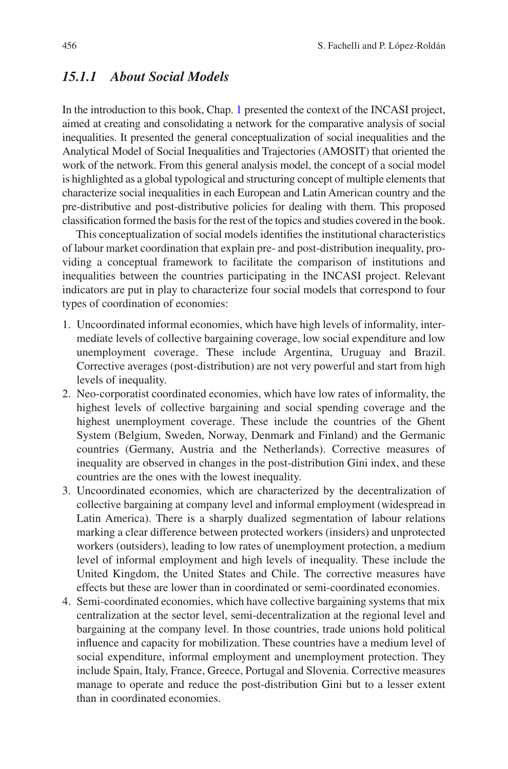# *15.1.1 About Social Models*

In the introduction to this book, Chap. [1](https://doi.org/10.1007/978-3-030-48442-2_1) presented the context of the INCASI project, aimed at creating and consolidating a network for the comparative analysis of social inequalities. It presented the general conceptualization of social inequalities and the Analytical Model of Social Inequalities and Trajectories (AMOSIT) that oriented the work of the network. From this general analysis model, the concept of a social model is highlighted as a global typological and structuring concept of multiple elements that characterize social inequalities in each European and Latin American country and the pre-distributive and post-distributive policies for dealing with them. This proposed classification formed the basis for the rest of the topics and studies covered in the book.

This conceptualization of social models identifies the institutional characteristics of labour market coordination that explain pre- and post-distribution inequality, providing a conceptual framework to facilitate the comparison of institutions and inequalities between the countries participating in the INCASI project. Relevant indicators are put in play to characterize four social models that correspond to four types of coordination of economies:

- 1. Uncoordinated informal economies, which have high levels of informality, intermediate levels of collective bargaining coverage, low social expenditure and low unemployment coverage. These include Argentina, Uruguay and Brazil. Corrective averages (post-distribution) are not very powerful and start from high levels of inequality.
- 2. Neo-corporatist coordinated economies, which have low rates of informality, the highest levels of collective bargaining and social spending coverage and the highest unemployment coverage. These include the countries of the Ghent System (Belgium, Sweden, Norway, Denmark and Finland) and the Germanic countries (Germany, Austria and the Netherlands). Corrective measures of inequality are observed in changes in the post-distribution Gini index, and these countries are the ones with the lowest inequality.
- 3. Uncoordinated economies, which are characterized by the decentralization of collective bargaining at company level and informal employment (widespread in Latin America). There is a sharply dualized segmentation of labour relations marking a clear difference between protected workers (insiders) and unprotected workers (outsiders), leading to low rates of unemployment protection, a medium level of informal employment and high levels of inequality. These include the United Kingdom, the United States and Chile. The corrective measures have effects but these are lower than in coordinated or semi-coordinated economies.
- 4. Semi-coordinated economies, which have collective bargaining systems that mix centralization at the sector level, semi-decentralization at the regional level and bargaining at the company level. In those countries, trade unions hold political influence and capacity for mobilization. These countries have a medium level of social expenditure, informal employment and unemployment protection. They include Spain, Italy, France, Greece, Portugal and Slovenia. Corrective measures manage to operate and reduce the post-distribution Gini but to a lesser extent than in coordinated economies.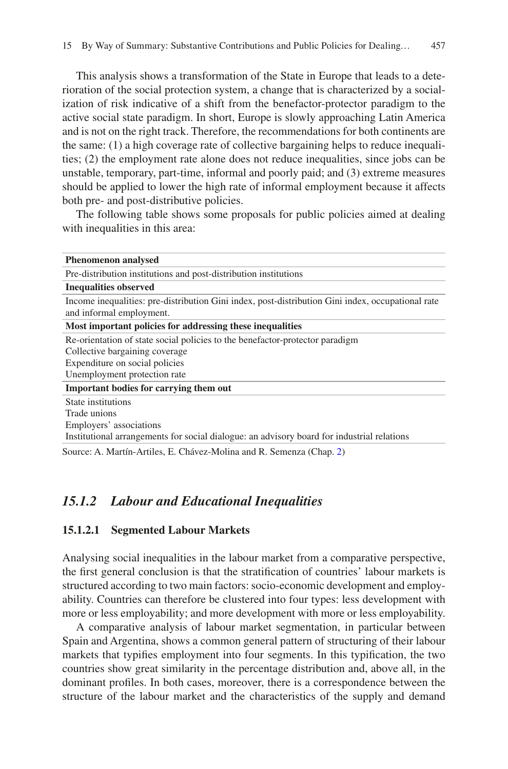This analysis shows a transformation of the State in Europe that leads to a deterioration of the social protection system, a change that is characterized by a socialization of risk indicative of a shift from the benefactor-protector paradigm to the active social state paradigm. In short, Europe is slowly approaching Latin America and is not on the right track. Therefore, the recommendations for both continents are the same: (1) a high coverage rate of collective bargaining helps to reduce inequalities; (2) the employment rate alone does not reduce inequalities, since jobs can be unstable, temporary, part-time, informal and poorly paid; and (3) extreme measures should be applied to lower the high rate of informal employment because it affects both pre- and post-distributive policies.

The following table shows some proposals for public policies aimed at dealing with inequalities in this area:

| <b>Phenomenon analysed</b>                                                                        |
|---------------------------------------------------------------------------------------------------|
| Pre-distribution institutions and post-distribution institutions                                  |
| <b>Inequalities observed</b>                                                                      |
| Income inequalities: pre-distribution Gini index, post-distribution Gini index, occupational rate |
| and informal employment.                                                                          |
| Most important policies for addressing these inequalities                                         |
| Re-orientation of state social policies to the benefactor-protector paradigm                      |
| Collective bargaining coverage                                                                    |
| Expenditure on social policies                                                                    |
| Unemployment protection rate                                                                      |
| Important bodies for carrying them out                                                            |
| State institutions                                                                                |
| Trade unions                                                                                      |
| Employers' associations                                                                           |
| Institutional arrangements for social dialogue: an advisory board for industrial relations        |
| Source: A. Martín-Artiles, E. Chávez-Molina and R. Semenza (Chap. 2)                              |

# *15.1.2 Labour and Educational Inequalities*

### **15.1.2.1 Segmented Labour Markets**

Analysing social inequalities in the labour market from a comparative perspective, the first general conclusion is that the stratification of countries' labour markets is structured according to two main factors: socio-economic development and employability. Countries can therefore be clustered into four types: less development with more or less employability; and more development with more or less employability.

A comparative analysis of labour market segmentation, in particular between Spain and Argentina, shows a common general pattern of structuring of their labour markets that typifies employment into four segments. In this typification, the two countries show great similarity in the percentage distribution and, above all, in the dominant profiles. In both cases, moreover, there is a correspondence between the structure of the labour market and the characteristics of the supply and demand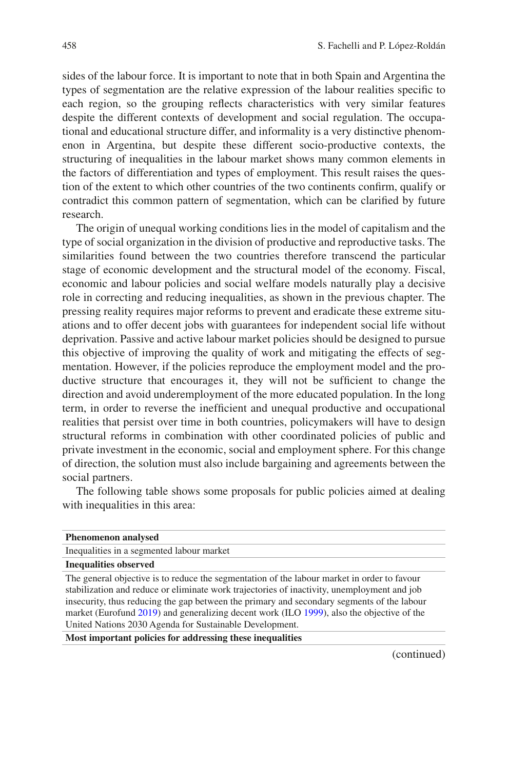sides of the labour force. It is important to note that in both Spain and Argentina the types of segmentation are the relative expression of the labour realities specific to each region, so the grouping reflects characteristics with very similar features despite the different contexts of development and social regulation. The occupational and educational structure differ, and informality is a very distinctive phenomenon in Argentina, but despite these different socio-productive contexts, the structuring of inequalities in the labour market shows many common elements in the factors of differentiation and types of employment. This result raises the question of the extent to which other countries of the two continents confirm, qualify or contradict this common pattern of segmentation, which can be clarified by future research.

The origin of unequal working conditions lies in the model of capitalism and the type of social organization in the division of productive and reproductive tasks. The similarities found between the two countries therefore transcend the particular stage of economic development and the structural model of the economy. Fiscal, economic and labour policies and social welfare models naturally play a decisive role in correcting and reducing inequalities, as shown in the previous chapter. The pressing reality requires major reforms to prevent and eradicate these extreme situations and to offer decent jobs with guarantees for independent social life without deprivation. Passive and active labour market policies should be designed to pursue this objective of improving the quality of work and mitigating the effects of segmentation. However, if the policies reproduce the employment model and the productive structure that encourages it, they will not be sufficient to change the direction and avoid underemployment of the more educated population. In the long term, in order to reverse the inefficient and unequal productive and occupational realities that persist over time in both countries, policymakers will have to design structural reforms in combination with other coordinated policies of public and private investment in the economic, social and employment sphere. For this change of direction, the solution must also include bargaining and agreements between the social partners.

The following table shows some proposals for public policies aimed at dealing with inequalities in this area:

| <b>Phenomenon analysed</b>                                                                                                                                                                                                                                                                                                                                                                                                                       |
|--------------------------------------------------------------------------------------------------------------------------------------------------------------------------------------------------------------------------------------------------------------------------------------------------------------------------------------------------------------------------------------------------------------------------------------------------|
| Inequalities in a segmented labour market                                                                                                                                                                                                                                                                                                                                                                                                        |
| <b>Inequalities observed</b>                                                                                                                                                                                                                                                                                                                                                                                                                     |
| The general objective is to reduce the segmentation of the labour market in order to favour<br>stabilization and reduce or eliminate work trajectories of inactivity, unemployment and job<br>insecurity, thus reducing the gap between the primary and secondary segments of the labour<br>market (Eurofund 2019) and generalizing decent work (ILO 1999), also the objective of the<br>United Nations 2030 Agenda for Sustainable Development. |
| .                                                                                                                                                                                                                                                                                                                                                                                                                                                |

**Most important policies for addressing these inequalities**

(continued)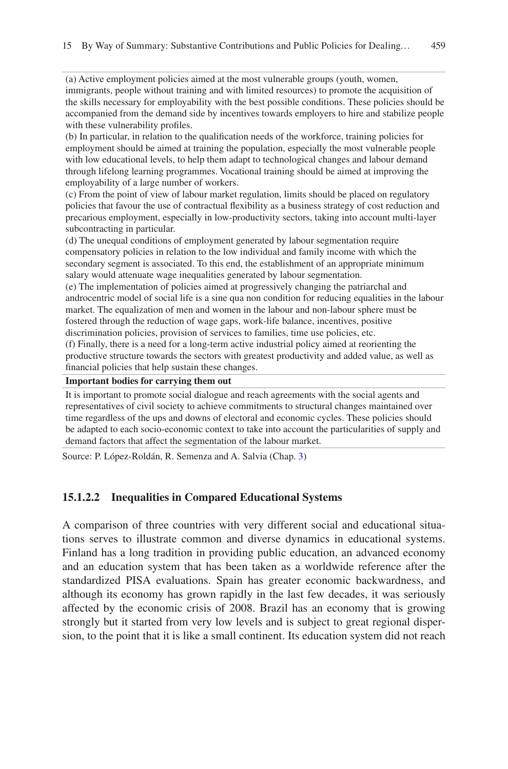(a) Active employment policies aimed at the most vulnerable groups (youth, women, immigrants, people without training and with limited resources) to promote the acquisition of the skills necessary for employability with the best possible conditions. These policies should be accompanied from the demand side by incentives towards employers to hire and stabilize people with these vulnerability profiles.

(b) In particular, in relation to the qualification needs of the workforce, training policies for employment should be aimed at training the population, especially the most vulnerable people with low educational levels, to help them adapt to technological changes and labour demand through lifelong learning programmes. Vocational training should be aimed at improving the employability of a large number of workers.

(c) From the point of view of labour market regulation, limits should be placed on regulatory policies that favour the use of contractual flexibility as a business strategy of cost reduction and precarious employment, especially in low-productivity sectors, taking into account multi-layer subcontracting in particular.

(d) The unequal conditions of employment generated by labour segmentation require compensatory policies in relation to the low individual and family income with which the secondary segment is associated. To this end, the establishment of an appropriate minimum salary would attenuate wage inequalities generated by labour segmentation.

(e) The implementation of policies aimed at progressively changing the patriarchal and androcentric model of social life is a sine qua non condition for reducing equalities in the labour market. The equalization of men and women in the labour and non-labour sphere must be fostered through the reduction of wage gaps, work-life balance, incentives, positive discrimination policies, provision of services to families, time use policies, etc.

(f) Finally, there is a need for a long-term active industrial policy aimed at reorienting the productive structure towards the sectors with greatest productivity and added value, as well as financial policies that help sustain these changes.

**Important bodies for carrying them out**

It is important to promote social dialogue and reach agreements with the social agents and representatives of civil society to achieve commitments to structural changes maintained over time regardless of the ups and downs of electoral and economic cycles. These policies should be adapted to each socio-economic context to take into account the particularities of supply and demand factors that affect the segmentation of the labour market.

Source: P. López-Roldán, R. Semenza and A. Salvia (Chap. [3\)](https://doi.org/10.1007/978-3-030-48442-2_3)

# **15.1.2.2 Inequalities in Compared Educational Systems**

A comparison of three countries with very different social and educational situations serves to illustrate common and diverse dynamics in educational systems. Finland has a long tradition in providing public education, an advanced economy and an education system that has been taken as a worldwide reference after the standardized PISA evaluations. Spain has greater economic backwardness, and although its economy has grown rapidly in the last few decades, it was seriously affected by the economic crisis of 2008. Brazil has an economy that is growing strongly but it started from very low levels and is subject to great regional dispersion, to the point that it is like a small continent. Its education system did not reach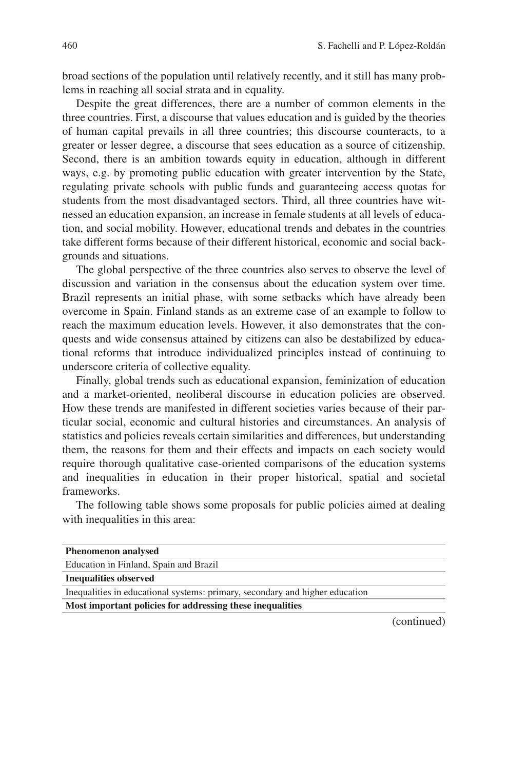broad sections of the population until relatively recently, and it still has many problems in reaching all social strata and in equality.

Despite the great differences, there are a number of common elements in the three countries. First, a discourse that values education and is guided by the theories of human capital prevails in all three countries; this discourse counteracts, to a greater or lesser degree, a discourse that sees education as a source of citizenship. Second, there is an ambition towards equity in education, although in different ways, e.g. by promoting public education with greater intervention by the State, regulating private schools with public funds and guaranteeing access quotas for students from the most disadvantaged sectors. Third, all three countries have witnessed an education expansion, an increase in female students at all levels of education, and social mobility. However, educational trends and debates in the countries take different forms because of their different historical, economic and social backgrounds and situations.

The global perspective of the three countries also serves to observe the level of discussion and variation in the consensus about the education system over time. Brazil represents an initial phase, with some setbacks which have already been overcome in Spain. Finland stands as an extreme case of an example to follow to reach the maximum education levels. However, it also demonstrates that the conquests and wide consensus attained by citizens can also be destabilized by educational reforms that introduce individualized principles instead of continuing to underscore criteria of collective equality.

Finally, global trends such as educational expansion, feminization of education and a market-oriented, neoliberal discourse in education policies are observed. How these trends are manifested in different societies varies because of their particular social, economic and cultural histories and circumstances. An analysis of statistics and policies reveals certain similarities and differences, but understanding them, the reasons for them and their effects and impacts on each society would require thorough qualitative case-oriented comparisons of the education systems and inequalities in education in their proper historical, spatial and societal frameworks.

The following table shows some proposals for public policies aimed at dealing with inequalities in this area:

| <b>Phenomenon analysed</b>                                                   |
|------------------------------------------------------------------------------|
| Education in Finland, Spain and Brazil                                       |
| <b>Inequalities observed</b>                                                 |
| Inequalities in educational systems: primary, secondary and higher education |
| Most important policies for addressing these inequalities                    |

(continued)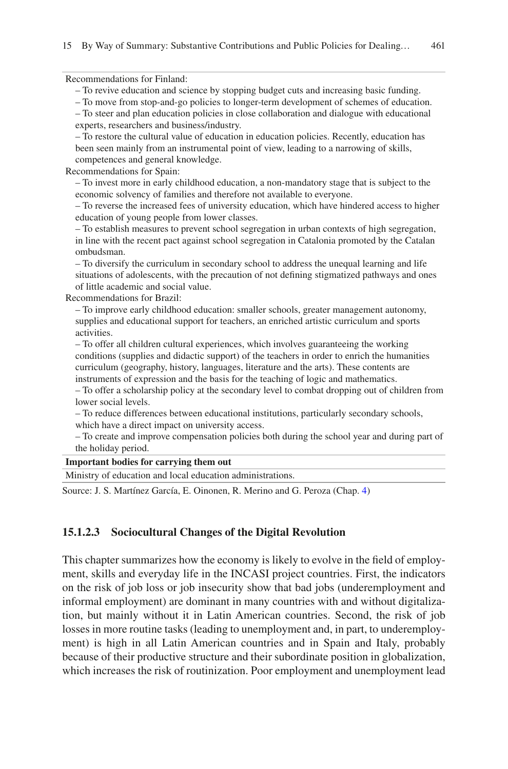Recommendations for Finland:

– To revive education and science by stopping budget cuts and increasing basic funding.

– To move from stop-and-go policies to longer-term development of schemes of education.

– To steer and plan education policies in close collaboration and dialogue with educational

experts, researchers and business/industry.

 – To restore the cultural value of education in education policies. Recently, education has been seen mainly from an instrumental point of view, leading to a narrowing of skills, competences and general knowledge.

Recommendations for Spain:

 – To invest more in early childhood education, a non-mandatory stage that is subject to the economic solvency of families and therefore not available to everyone.

 – To reverse the increased fees of university education, which have hindered access to higher education of young people from lower classes.

 – To establish measures to prevent school segregation in urban contexts of high segregation, in line with the recent pact against school segregation in Catalonia promoted by the Catalan ombudsman.

 – To diversify the curriculum in secondary school to address the unequal learning and life situations of adolescents, with the precaution of not defining stigmatized pathways and ones of little academic and social value.

Recommendations for Brazil:

 – To improve early childhood education: smaller schools, greater management autonomy, supplies and educational support for teachers, an enriched artistic curriculum and sports activities.

 – To offer all children cultural experiences, which involves guaranteeing the working conditions (supplies and didactic support) of the teachers in order to enrich the humanities curriculum (geography, history, languages, literature and the arts). These contents are instruments of expression and the basis for the teaching of logic and mathematics.

 – To offer a scholarship policy at the secondary level to combat dropping out of children from lower social levels.

 – To reduce differences between educational institutions, particularly secondary schools, which have a direct impact on university access.

 – To create and improve compensation policies both during the school year and during part of the holiday period.

**Important bodies for carrying them out**

Ministry of education and local education administrations.

Source: J. S. Martínez García, E. Oinonen, R. Merino and G. Peroza (Chap. [4\)](https://doi.org/10.1007/978-3-030-48442-2_4)

# **15.1.2.3 Sociocultural Changes of the Digital Revolution**

This chapter summarizes how the economy is likely to evolve in the field of employment, skills and everyday life in the INCASI project countries. First, the indicators on the risk of job loss or job insecurity show that bad jobs (underemployment and informal employment) are dominant in many countries with and without digitalization, but mainly without it in Latin American countries. Second, the risk of job losses in more routine tasks (leading to unemployment and, in part, to underemployment) is high in all Latin American countries and in Spain and Italy, probably because of their productive structure and their subordinate position in globalization, which increases the risk of routinization. Poor employment and unemployment lead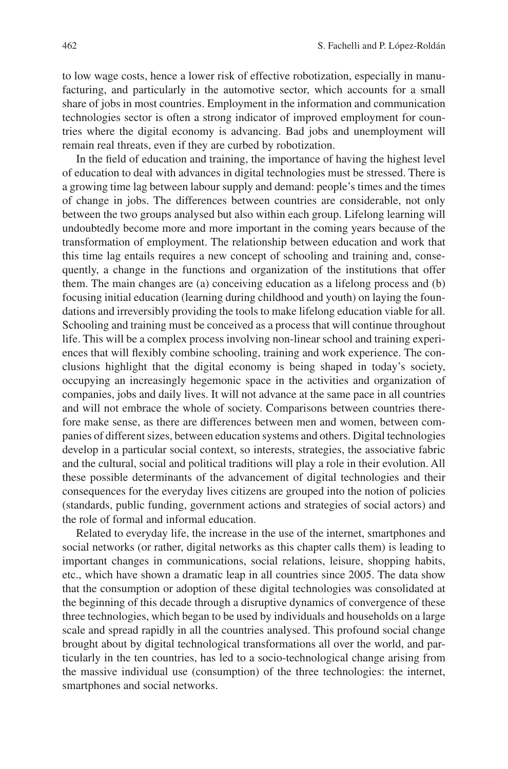to low wage costs, hence a lower risk of effective robotization, especially in manufacturing, and particularly in the automotive sector, which accounts for a small share of jobs in most countries. Employment in the information and communication technologies sector is often a strong indicator of improved employment for countries where the digital economy is advancing. Bad jobs and unemployment will remain real threats, even if they are curbed by robotization.

In the field of education and training, the importance of having the highest level of education to deal with advances in digital technologies must be stressed. There is a growing time lag between labour supply and demand: people's times and the times of change in jobs. The differences between countries are considerable, not only between the two groups analysed but also within each group. Lifelong learning will undoubtedly become more and more important in the coming years because of the transformation of employment. The relationship between education and work that this time lag entails requires a new concept of schooling and training and, consequently, a change in the functions and organization of the institutions that offer them. The main changes are (a) conceiving education as a lifelong process and (b) focusing initial education (learning during childhood and youth) on laying the foundations and irreversibly providing the tools to make lifelong education viable for all. Schooling and training must be conceived as a process that will continue throughout life. This will be a complex process involving non-linear school and training experiences that will flexibly combine schooling, training and work experience. The conclusions highlight that the digital economy is being shaped in today's society, occupying an increasingly hegemonic space in the activities and organization of companies, jobs and daily lives. It will not advance at the same pace in all countries and will not embrace the whole of society. Comparisons between countries therefore make sense, as there are differences between men and women, between companies of different sizes, between education systems and others. Digital technologies develop in a particular social context, so interests, strategies, the associative fabric and the cultural, social and political traditions will play a role in their evolution. All these possible determinants of the advancement of digital technologies and their consequences for the everyday lives citizens are grouped into the notion of policies (standards, public funding, government actions and strategies of social actors) and the role of formal and informal education.

Related to everyday life, the increase in the use of the internet, smartphones and social networks (or rather, digital networks as this chapter calls them) is leading to important changes in communications, social relations, leisure, shopping habits, etc., which have shown a dramatic leap in all countries since 2005. The data show that the consumption or adoption of these digital technologies was consolidated at the beginning of this decade through a disruptive dynamics of convergence of these three technologies, which began to be used by individuals and households on a large scale and spread rapidly in all the countries analysed. This profound social change brought about by digital technological transformations all over the world, and particularly in the ten countries, has led to a socio-technological change arising from the massive individual use (consumption) of the three technologies: the internet, smartphones and social networks.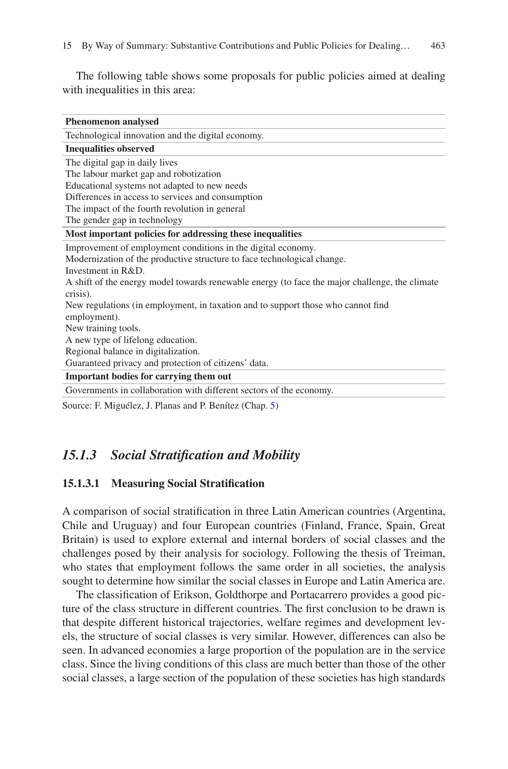The following table shows some proposals for public policies aimed at dealing with inequalities in this area:

| <b>Phenomenon analysed</b>                                                                                 |
|------------------------------------------------------------------------------------------------------------|
| Technological innovation and the digital economy.                                                          |
| <b>Inequalities observed</b>                                                                               |
| The digital gap in daily lives                                                                             |
| The labour market gap and robotization                                                                     |
| Educational systems not adapted to new needs                                                               |
| Differences in access to services and consumption                                                          |
| The impact of the fourth revolution in general                                                             |
| The gender gap in technology                                                                               |
| Most important policies for addressing these inequalities                                                  |
| Improvement of employment conditions in the digital economy.                                               |
| Modernization of the productive structure to face technological change.                                    |
| Investment in R&D.                                                                                         |
| A shift of the energy model towards renewable energy (to face the major challenge, the climate<br>crisis). |
| New regulations (in employment, in taxation and to support those who cannot find                           |
| employment).                                                                                               |
| New training tools.                                                                                        |
| A new type of lifelong education.                                                                          |
| Regional balance in digitalization.                                                                        |
| Guaranteed privacy and protection of citizens' data.                                                       |
| Important bodies for carrying them out                                                                     |
| Governments in collaboration with different sectors of the economy.                                        |
| $\mathcal{C}_{\text{current}}$ $\mathcal{D}$ Months I Done and D Dantes (Chan $\mathcal{L}$ )              |

Source: F. Miguélez, J. Planas and P. Benítez (Chap. [5](https://doi.org/10.1007/978-3-030-48442-2_5))

# *15.1.3 Social Stratification and Mobility*

### **15.1.3.1 Measuring Social Stratification**

A comparison of social stratification in three Latin American countries (Argentina, Chile and Uruguay) and four European countries (Finland, France, Spain, Great Britain) is used to explore external and internal borders of social classes and the challenges posed by their analysis for sociology. Following the thesis of Treiman, who states that employment follows the same order in all societies, the analysis sought to determine how similar the social classes in Europe and Latin America are.

The classification of Erikson, Goldthorpe and Portacarrero provides a good picture of the class structure in different countries. The first conclusion to be drawn is that despite different historical trajectories, welfare regimes and development levels, the structure of social classes is very similar. However, differences can also be seen. In advanced economies a large proportion of the population are in the service class. Since the living conditions of this class are much better than those of the other social classes, a large section of the population of these societies has high standards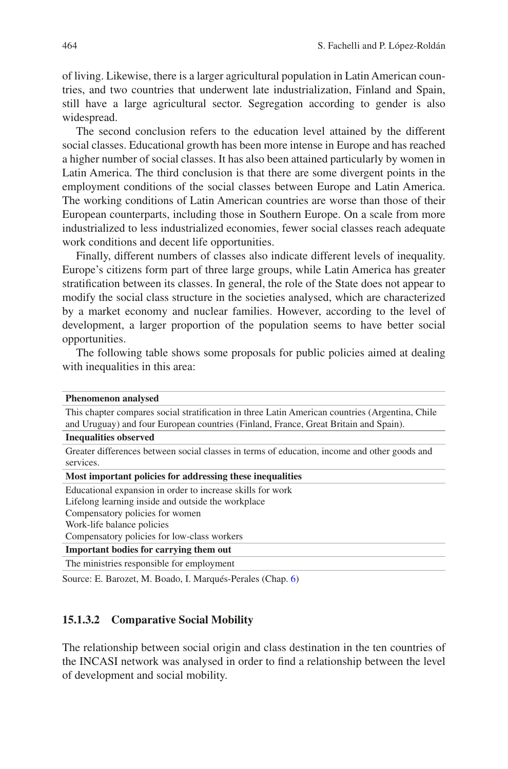of living. Likewise, there is a larger agricultural population in Latin American countries, and two countries that underwent late industrialization, Finland and Spain, still have a large agricultural sector. Segregation according to gender is also widespread.

The second conclusion refers to the education level attained by the different social classes. Educational growth has been more intense in Europe and has reached a higher number of social classes. It has also been attained particularly by women in Latin America. The third conclusion is that there are some divergent points in the employment conditions of the social classes between Europe and Latin America. The working conditions of Latin American countries are worse than those of their European counterparts, including those in Southern Europe. On a scale from more industrialized to less industrialized economies, fewer social classes reach adequate work conditions and decent life opportunities.

Finally, different numbers of classes also indicate different levels of inequality. Europe's citizens form part of three large groups, while Latin America has greater stratification between its classes. In general, the role of the State does not appear to modify the social class structure in the societies analysed, which are characterized by a market economy and nuclear families. However, according to the level of development, a larger proportion of the population seems to have better social opportunities.

The following table shows some proposals for public policies aimed at dealing with inequalities in this area:

| <b>Phenomenon analysed</b>                                                                                                                                                                                                       |
|----------------------------------------------------------------------------------------------------------------------------------------------------------------------------------------------------------------------------------|
| This chapter compares social stratification in three Latin American countries (Argentina, Chile<br>and Uruguay) and four European countries (Finland, France, Great Britain and Spain).                                          |
| <b>Inequalities observed</b>                                                                                                                                                                                                     |
| Greater differences between social classes in terms of education, income and other goods and<br>services.                                                                                                                        |
| Most important policies for addressing these inequalities                                                                                                                                                                        |
| Educational expansion in order to increase skills for work<br>Lifelong learning inside and outside the workplace<br>Compensatory policies for women<br>Work-life balance policies<br>Compensatory policies for low-class workers |
| Important bodies for carrying them out                                                                                                                                                                                           |
| The ministries responsible for employment                                                                                                                                                                                        |

Source: E. Barozet, M. Boado, I. Marqués-Perales (Chap. [6\)](https://doi.org/10.1007/978-3-030-48442-2_6)

# **15.1.3.2 Comparative Social Mobility**

The relationship between social origin and class destination in the ten countries of the INCASI network was analysed in order to find a relationship between the level of development and social mobility.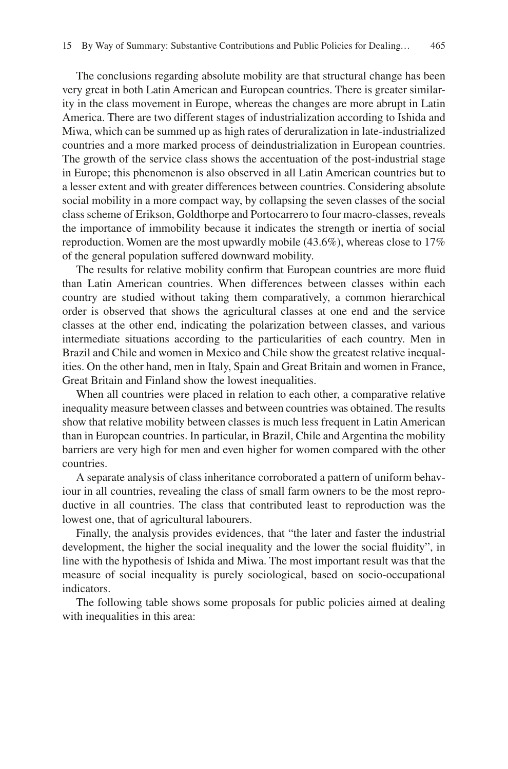The conclusions regarding absolute mobility are that structural change has been very great in both Latin American and European countries. There is greater similarity in the class movement in Europe, whereas the changes are more abrupt in Latin America. There are two different stages of industrialization according to Ishida and Miwa, which can be summed up as high rates of deruralization in late-industrialized countries and a more marked process of deindustrialization in European countries. The growth of the service class shows the accentuation of the post-industrial stage in Europe; this phenomenon is also observed in all Latin American countries but to a lesser extent and with greater differences between countries. Considering absolute social mobility in a more compact way, by collapsing the seven classes of the social class scheme of Erikson, Goldthorpe and Portocarrero to four macro-classes, reveals the importance of immobility because it indicates the strength or inertia of social reproduction. Women are the most upwardly mobile (43.6%), whereas close to 17% of the general population suffered downward mobility.

The results for relative mobility confirm that European countries are more fluid than Latin American countries. When differences between classes within each country are studied without taking them comparatively, a common hierarchical order is observed that shows the agricultural classes at one end and the service classes at the other end, indicating the polarization between classes, and various intermediate situations according to the particularities of each country. Men in Brazil and Chile and women in Mexico and Chile show the greatest relative inequalities. On the other hand, men in Italy, Spain and Great Britain and women in France, Great Britain and Finland show the lowest inequalities.

When all countries were placed in relation to each other, a comparative relative inequality measure between classes and between countries was obtained. The results show that relative mobility between classes is much less frequent in Latin American than in European countries. In particular, in Brazil, Chile and Argentina the mobility barriers are very high for men and even higher for women compared with the other countries.

A separate analysis of class inheritance corroborated a pattern of uniform behaviour in all countries, revealing the class of small farm owners to be the most reproductive in all countries. The class that contributed least to reproduction was the lowest one, that of agricultural labourers.

Finally, the analysis provides evidences, that "the later and faster the industrial development, the higher the social inequality and the lower the social fluidity", in line with the hypothesis of Ishida and Miwa. The most important result was that the measure of social inequality is purely sociological, based on socio-occupational indicators.

The following table shows some proposals for public policies aimed at dealing with inequalities in this area: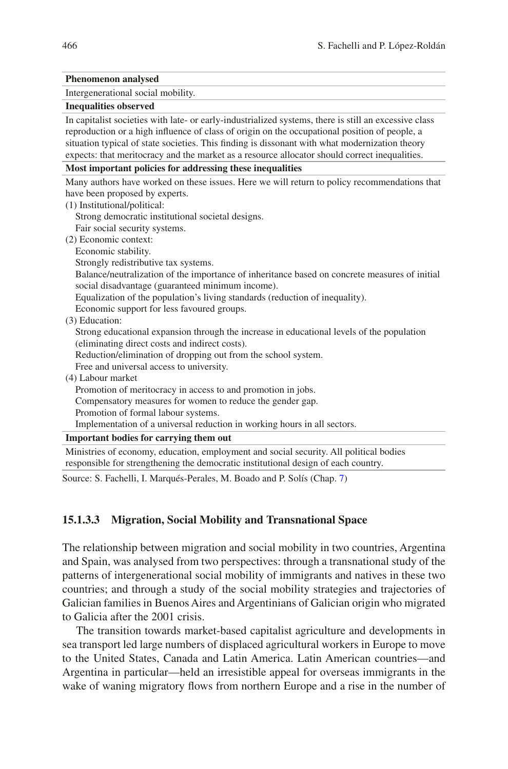#### **Phenomenon analysed**

Intergenerational social mobility.

### **Inequalities observed**

In capitalist societies with late- or early-industrialized systems, there is still an excessive class reproduction or a high influence of class of origin on the occupational position of people, a situation typical of state societies. This finding is dissonant with what modernization theory expects: that meritocracy and the market as a resource allocator should correct inequalities.

#### **Most important policies for addressing these inequalities**

Many authors have worked on these issues. Here we will return to policy recommendations that have been proposed by experts.

(1) Institutional/political:

Strong democratic institutional societal designs.

Fair social security systems.

- (2) Economic context:
- Economic stability.

Strongly redistributive tax systems.

 Balance/neutralization of the importance of inheritance based on concrete measures of initial social disadvantage (guaranteed minimum income).

Equalization of the population's living standards (reduction of inequality).

Economic support for less favoured groups.

(3) Education:

 Strong educational expansion through the increase in educational levels of the population (eliminating direct costs and indirect costs).

Reduction/elimination of dropping out from the school system.

Free and universal access to university.

(4) Labour market

Promotion of meritocracy in access to and promotion in jobs.

- Compensatory measures for women to reduce the gender gap.
- Promotion of formal labour systems.

Implementation of a universal reduction in working hours in all sectors.

**Important bodies for carrying them out**

Ministries of economy, education, employment and social security. All political bodies responsible for strengthening the democratic institutional design of each country.

Source: S. Fachelli, I. Marqués-Perales, M. Boado and P. Solís (Chap. [7\)](https://doi.org/10.1007/978-3-030-48442-2_7)

# **15.1.3.3 Migration, Social Mobility and Transnational Space**

The relationship between migration and social mobility in two countries, Argentina and Spain, was analysed from two perspectives: through a transnational study of the patterns of intergenerational social mobility of immigrants and natives in these two countries; and through a study of the social mobility strategies and trajectories of Galician families in Buenos Aires and Argentinians of Galician origin who migrated to Galicia after the 2001 crisis.

The transition towards market-based capitalist agriculture and developments in sea transport led large numbers of displaced agricultural workers in Europe to move to the United States, Canada and Latin America. Latin American countries—and Argentina in particular—held an irresistible appeal for overseas immigrants in the wake of waning migratory flows from northern Europe and a rise in the number of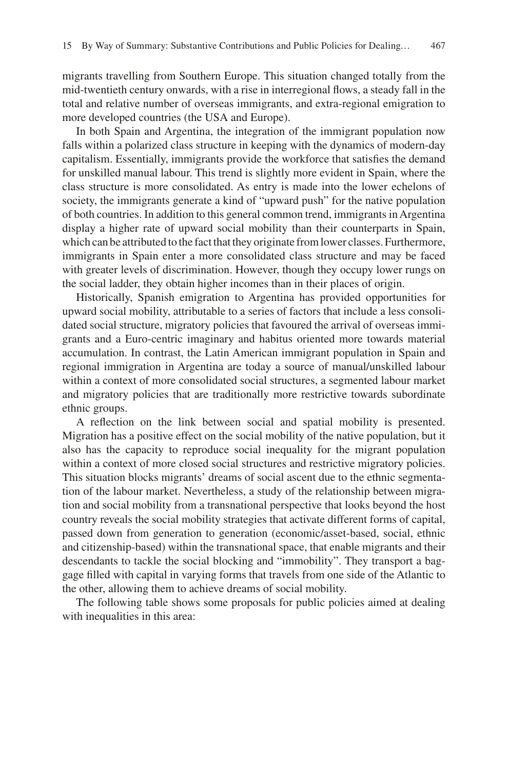migrants travelling from Southern Europe. This situation changed totally from the mid-twentieth century onwards, with a rise in interregional flows, a steady fall in the total and relative number of overseas immigrants, and extra-regional emigration to more developed countries (the USA and Europe).

In both Spain and Argentina, the integration of the immigrant population now falls within a polarized class structure in keeping with the dynamics of modern-day capitalism. Essentially, immigrants provide the workforce that satisfies the demand for unskilled manual labour. This trend is slightly more evident in Spain, where the class structure is more consolidated. As entry is made into the lower echelons of society, the immigrants generate a kind of "upward push" for the native population of both countries. In addition to this general common trend, immigrants in Argentina display a higher rate of upward social mobility than their counterparts in Spain, which can be attributed to the fact that they originate from lower classes. Furthermore, immigrants in Spain enter a more consolidated class structure and may be faced with greater levels of discrimination. However, though they occupy lower rungs on the social ladder, they obtain higher incomes than in their places of origin.

Historically, Spanish emigration to Argentina has provided opportunities for upward social mobility, attributable to a series of factors that include a less consolidated social structure, migratory policies that favoured the arrival of overseas immigrants and a Euro-centric imaginary and habitus oriented more towards material accumulation. In contrast, the Latin American immigrant population in Spain and regional immigration in Argentina are today a source of manual/unskilled labour within a context of more consolidated social structures, a segmented labour market and migratory policies that are traditionally more restrictive towards subordinate ethnic groups.

A reflection on the link between social and spatial mobility is presented. Migration has a positive effect on the social mobility of the native population, but it also has the capacity to reproduce social inequality for the migrant population within a context of more closed social structures and restrictive migratory policies. This situation blocks migrants' dreams of social ascent due to the ethnic segmentation of the labour market. Nevertheless, a study of the relationship between migration and social mobility from a transnational perspective that looks beyond the host country reveals the social mobility strategies that activate different forms of capital, passed down from generation to generation (economic/asset-based, social, ethnic and citizenship-based) within the transnational space, that enable migrants and their descendants to tackle the social blocking and "immobility". They transport a baggage filled with capital in varying forms that travels from one side of the Atlantic to the other, allowing them to achieve dreams of social mobility.

The following table shows some proposals for public policies aimed at dealing with inequalities in this area: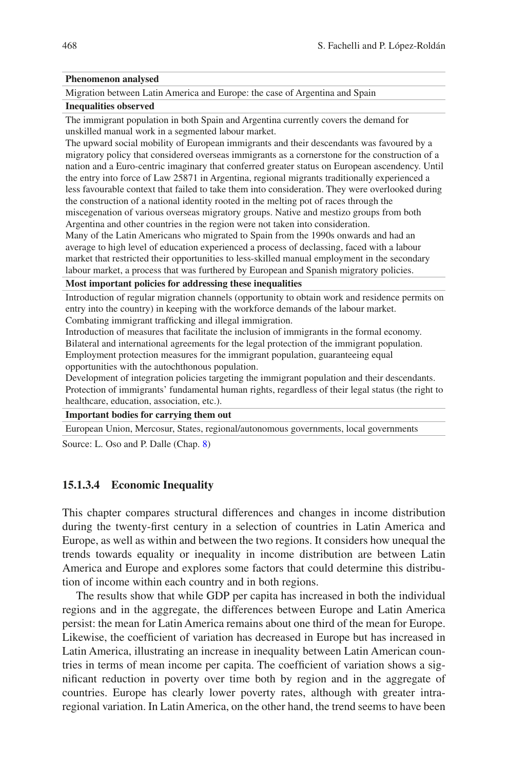#### **Phenomenon analysed**

Migration between Latin America and Europe: the case of Argentina and Spain

#### **Inequalities observed**

The immigrant population in both Spain and Argentina currently covers the demand for unskilled manual work in a segmented labour market.

The upward social mobility of European immigrants and their descendants was favoured by a migratory policy that considered overseas immigrants as a cornerstone for the construction of a nation and a Euro-centric imaginary that conferred greater status on European ascendency. Until the entry into force of Law 25871 in Argentina, regional migrants traditionally experienced a less favourable context that failed to take them into consideration. They were overlooked during the construction of a national identity rooted in the melting pot of races through the miscegenation of various overseas migratory groups. Native and mestizo groups from both Argentina and other countries in the region were not taken into consideration.

Many of the Latin Americans who migrated to Spain from the 1990s onwards and had an average to high level of education experienced a process of declassing, faced with a labour market that restricted their opportunities to less-skilled manual employment in the secondary labour market, a process that was furthered by European and Spanish migratory policies.

#### **Most important policies for addressing these inequalities**

Introduction of regular migration channels (opportunity to obtain work and residence permits on entry into the country) in keeping with the workforce demands of the labour market. Combating immigrant trafficking and illegal immigration.

Introduction of measures that facilitate the inclusion of immigrants in the formal economy. Bilateral and international agreements for the legal protection of the immigrant population. Employment protection measures for the immigrant population, guaranteeing equal opportunities with the autochthonous population.

Development of integration policies targeting the immigrant population and their descendants. Protection of immigrants' fundamental human rights, regardless of their legal status (the right to healthcare, education, association, etc.).

**Important bodies for carrying them out**

European Union, Mercosur, States, regional/autonomous governments, local governments

Source: L. Oso and P. Dalle (Chap. [8](https://doi.org/10.1007/978-3-030-48442-2_8))

# **15.1.3.4 Economic Inequality**

This chapter compares structural differences and changes in income distribution during the twenty-first century in a selection of countries in Latin America and Europe, as well as within and between the two regions. It considers how unequal the trends towards equality or inequality in income distribution are between Latin America and Europe and explores some factors that could determine this distribution of income within each country and in both regions.

The results show that while GDP per capita has increased in both the individual regions and in the aggregate, the differences between Europe and Latin America persist: the mean for Latin America remains about one third of the mean for Europe. Likewise, the coefficient of variation has decreased in Europe but has increased in Latin America, illustrating an increase in inequality between Latin American countries in terms of mean income per capita. The coefficient of variation shows a significant reduction in poverty over time both by region and in the aggregate of countries. Europe has clearly lower poverty rates, although with greater intraregional variation. In Latin America, on the other hand, the trend seems to have been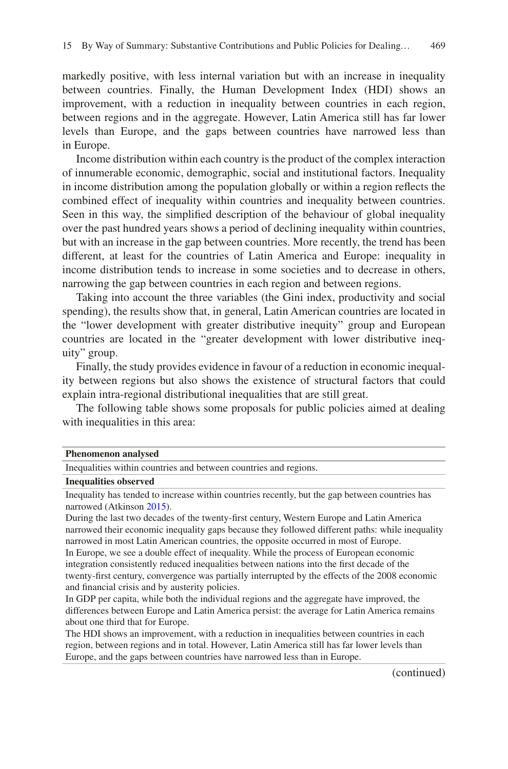markedly positive, with less internal variation but with an increase in inequality between countries. Finally, the Human Development Index (HDI) shows an improvement, with a reduction in inequality between countries in each region, between regions and in the aggregate. However, Latin America still has far lower levels than Europe, and the gaps between countries have narrowed less than in Europe.

Income distribution within each country is the product of the complex interaction of innumerable economic, demographic, social and institutional factors. Inequality in income distribution among the population globally or within a region reflects the combined effect of inequality within countries and inequality between countries. Seen in this way, the simplified description of the behaviour of global inequality over the past hundred years shows a period of declining inequality within countries, but with an increase in the gap between countries. More recently, the trend has been different, at least for the countries of Latin America and Europe: inequality in income distribution tends to increase in some societies and to decrease in others, narrowing the gap between countries in each region and between regions.

Taking into account the three variables (the Gini index, productivity and social spending), the results show that, in general, Latin American countries are located in the "lower development with greater distributive inequity" group and European countries are located in the "greater development with lower distributive inequity" group.

Finally, the study provides evidence in favour of a reduction in economic inequality between regions but also shows the existence of structural factors that could explain intra-regional distributional inequalities that are still great.

The following table shows some proposals for public policies aimed at dealing with inequalities in this area:

| <b>Phenomenon analysed</b>                                       |
|------------------------------------------------------------------|
| Inequalities within countries and between countries and regions. |
| <b>Inequalities observed</b>                                     |

Inequality has tended to increase within countries recently, but the gap between countries has narrowed (Atkinson [2015\)](#page-25-2).

During the last two decades of the twenty-first century, Western Europe and Latin America narrowed their economic inequality gaps because they followed different paths: while inequality narrowed in most Latin American countries, the opposite occurred in most of Europe.

In Europe, we see a double effect of inequality. While the process of European economic integration consistently reduced inequalities between nations into the first decade of the twenty-first century, convergence was partially interrupted by the effects of the 2008 economic and financial crisis and by austerity policies.

In GDP per capita, while both the individual regions and the aggregate have improved, the differences between Europe and Latin America persist: the average for Latin America remains about one third that for Europe.

The HDI shows an improvement, with a reduction in inequalities between countries in each region, between regions and in total. However, Latin America still has far lower levels than Europe, and the gaps between countries have narrowed less than in Europe.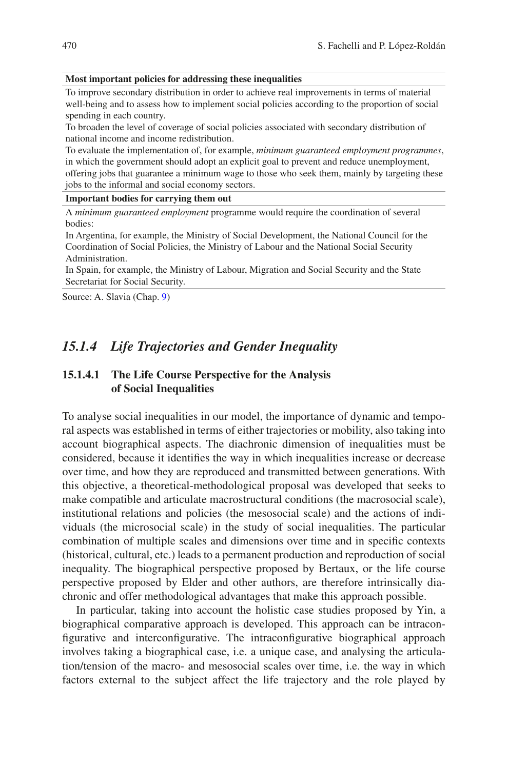#### **Most important policies for addressing these inequalities**

To improve secondary distribution in order to achieve real improvements in terms of material well-being and to assess how to implement social policies according to the proportion of social spending in each country.

To broaden the level of coverage of social policies associated with secondary distribution of national income and income redistribution.

To evaluate the implementation of, for example, *minimum guaranteed employment programmes*, in which the government should adopt an explicit goal to prevent and reduce unemployment, offering jobs that guarantee a minimum wage to those who seek them, mainly by targeting these jobs to the informal and social economy sectors.

**Important bodies for carrying them out**

A *minimum guaranteed employment* programme would require the coordination of several bodies:

In Argentina, for example, the Ministry of Social Development, the National Council for the Coordination of Social Policies, the Ministry of Labour and the National Social Security Administration.

In Spain, for example, the Ministry of Labour, Migration and Social Security and the State Secretariat for Social Security.

Source: A. Slavia (Chap. [9](https://doi.org/10.1007/978-3-030-48442-2_9))

# *15.1.4 Life Trajectories and Gender Inequality*

# **15.1.4.1 The Life Course Perspective for the Analysis of Social Inequalities**

To analyse social inequalities in our model, the importance of dynamic and temporal aspects was established in terms of either trajectories or mobility, also taking into account biographical aspects. The diachronic dimension of inequalities must be considered, because it identifies the way in which inequalities increase or decrease over time, and how they are reproduced and transmitted between generations. With this objective, a theoretical-methodological proposal was developed that seeks to make compatible and articulate macrostructural conditions (the macrosocial scale), institutional relations and policies (the mesosocial scale) and the actions of individuals (the microsocial scale) in the study of social inequalities. The particular combination of multiple scales and dimensions over time and in specific contexts (historical, cultural, etc.) leads to a permanent production and reproduction of social inequality. The biographical perspective proposed by Bertaux, or the life course perspective proposed by Elder and other authors, are therefore intrinsically diachronic and offer methodological advantages that make this approach possible.

In particular, taking into account the holistic case studies proposed by Yin, a biographical comparative approach is developed. This approach can be intraconfigurative and interconfigurative. The intraconfigurative biographical approach involves taking a biographical case, i.e. a unique case, and analysing the articulation/tension of the macro- and mesosocial scales over time, i.e. the way in which factors external to the subject affect the life trajectory and the role played by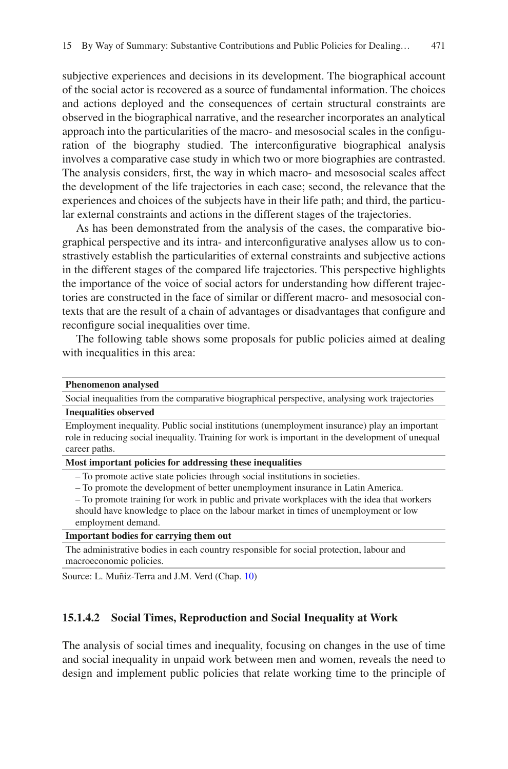subjective experiences and decisions in its development. The biographical account of the social actor is recovered as a source of fundamental information. The choices and actions deployed and the consequences of certain structural constraints are observed in the biographical narrative, and the researcher incorporates an analytical approach into the particularities of the macro- and mesosocial scales in the configuration of the biography studied. The interconfigurative biographical analysis involves a comparative case study in which two or more biographies are contrasted. The analysis considers, first, the way in which macro- and mesosocial scales affect the development of the life trajectories in each case; second, the relevance that the experiences and choices of the subjects have in their life path; and third, the particular external constraints and actions in the different stages of the trajectories.

As has been demonstrated from the analysis of the cases, the comparative biographical perspective and its intra- and interconfigurative analyses allow us to constrastively establish the particularities of external constraints and subjective actions in the different stages of the compared life trajectories. This perspective highlights the importance of the voice of social actors for understanding how different trajectories are constructed in the face of similar or different macro- and mesosocial contexts that are the result of a chain of advantages or disadvantages that configure and reconfigure social inequalities over time.

The following table shows some proposals for public policies aimed at dealing with inequalities in this area:

| <b>Phenomenon analysed</b>                                                                                                                                                                                        |
|-------------------------------------------------------------------------------------------------------------------------------------------------------------------------------------------------------------------|
| Social inequalities from the comparative biographical perspective, analysing work trajectories                                                                                                                    |
| <b>Inequalities observed</b>                                                                                                                                                                                      |
| Employment inequality. Public social institutions (unemployment insurance) play an important<br>role in reducing social inequality. Training for work is important in the development of unequal<br>career paths. |
| Most important policies for addressing these inequalities                                                                                                                                                         |
| To promote estive state policies through social institutions in sociation                                                                                                                                         |

– To promote active state policies through social institutions in societies.

– To promote the development of better unemployment insurance in Latin America.

 – To promote training for work in public and private workplaces with the idea that workers should have knowledge to place on the labour market in times of unemployment or low employment demand.

**Important bodies for carrying them out**

The administrative bodies in each country responsible for social protection, labour and macroeconomic policies.

Source: L. Muñiz-Terra and J.M. Verd (Chap. [10\)](https://doi.org/10.1007/978-3-030-48442-2_10)

### **15.1.4.2 Social Times, Reproduction and Social Inequality at Work**

The analysis of social times and inequality, focusing on changes in the use of time and social inequality in unpaid work between men and women, reveals the need to design and implement public policies that relate working time to the principle of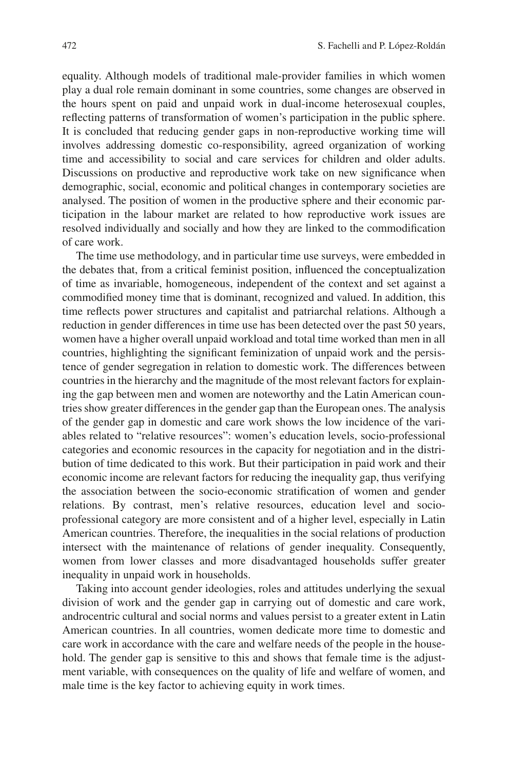equality. Although models of traditional male-provider families in which women play a dual role remain dominant in some countries, some changes are observed in the hours spent on paid and unpaid work in dual-income heterosexual couples, reflecting patterns of transformation of women's participation in the public sphere. It is concluded that reducing gender gaps in non-reproductive working time will involves addressing domestic co-responsibility, agreed organization of working time and accessibility to social and care services for children and older adults. Discussions on productive and reproductive work take on new significance when demographic, social, economic and political changes in contemporary societies are analysed. The position of women in the productive sphere and their economic participation in the labour market are related to how reproductive work issues are resolved individually and socially and how they are linked to the commodification of care work.

The time use methodology, and in particular time use surveys, were embedded in the debates that, from a critical feminist position, influenced the conceptualization of time as invariable, homogeneous, independent of the context and set against a commodified money time that is dominant, recognized and valued. In addition, this time reflects power structures and capitalist and patriarchal relations. Although a reduction in gender differences in time use has been detected over the past 50 years, women have a higher overall unpaid workload and total time worked than men in all countries, highlighting the significant feminization of unpaid work and the persistence of gender segregation in relation to domestic work. The differences between countries in the hierarchy and the magnitude of the most relevant factors for explaining the gap between men and women are noteworthy and the Latin American countries show greater differences in the gender gap than the European ones. The analysis of the gender gap in domestic and care work shows the low incidence of the variables related to "relative resources": women's education levels, socio-professional categories and economic resources in the capacity for negotiation and in the distribution of time dedicated to this work. But their participation in paid work and their economic income are relevant factors for reducing the inequality gap, thus verifying the association between the socio-economic stratification of women and gender relations. By contrast, men's relative resources, education level and socioprofessional category are more consistent and of a higher level, especially in Latin American countries. Therefore, the inequalities in the social relations of production intersect with the maintenance of relations of gender inequality. Consequently, women from lower classes and more disadvantaged households suffer greater inequality in unpaid work in households.

Taking into account gender ideologies, roles and attitudes underlying the sexual division of work and the gender gap in carrying out of domestic and care work, androcentric cultural and social norms and values persist to a greater extent in Latin American countries. In all countries, women dedicate more time to domestic and care work in accordance with the care and welfare needs of the people in the household. The gender gap is sensitive to this and shows that female time is the adjustment variable, with consequences on the quality of life and welfare of women, and male time is the key factor to achieving equity in work times.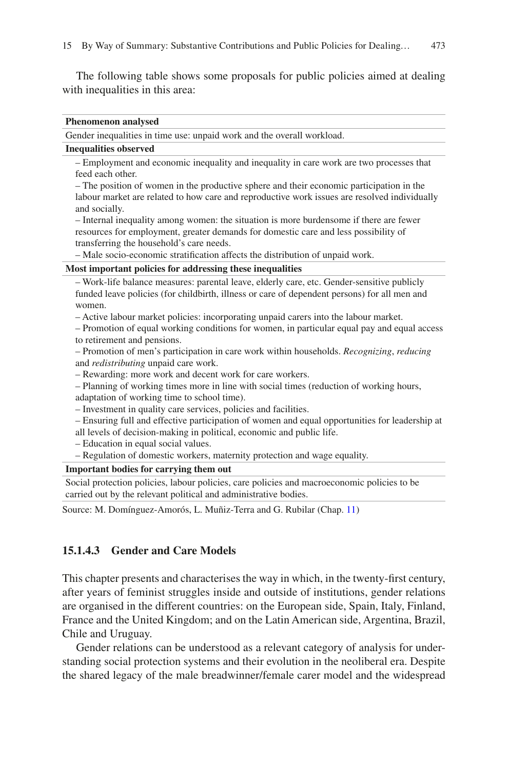The following table shows some proposals for public policies aimed at dealing with inequalities in this area:

#### **Phenomenon analysed**

Gender inequalities in time use: unpaid work and the overall workload.

#### **Inequalities observed**

 – Employment and economic inequality and inequality in care work are two processes that feed each other.

 – The position of women in the productive sphere and their economic participation in the labour market are related to how care and reproductive work issues are resolved individually and socially.

 – Internal inequality among women: the situation is more burdensome if there are fewer resources for employment, greater demands for domestic care and less possibility of transferring the household's care needs.

– Male socio-economic stratification affects the distribution of unpaid work.

### **Most important policies for addressing these inequalities**

 – Work-life balance measures: parental leave, elderly care, etc. Gender-sensitive publicly funded leave policies (for childbirth, illness or care of dependent persons) for all men and women.

– Active labour market policies: incorporating unpaid carers into the labour market.

 – Promotion of equal working conditions for women, in particular equal pay and equal access to retirement and pensions.

 – Promotion of men's participation in care work within households. *Recognizing*, *reducing* and *redistributing* unpaid care work.

– Rewarding: more work and decent work for care workers.

– Planning of working times more in line with social times (reduction of working hours,

adaptation of working time to school time).

– Investment in quality care services, policies and facilities.

 – Ensuring full and effective participation of women and equal opportunities for leadership at all levels of decision-making in political, economic and public life.

– Education in equal social values.

– Regulation of domestic workers, maternity protection and wage equality.

#### **Important bodies for carrying them out**

Social protection policies, labour policies, care policies and macroeconomic policies to be carried out by the relevant political and administrative bodies.

Source: M. Domínguez-Amorós, L. Muñiz-Terra and G. Rubilar (Chap. [11](https://doi.org/10.1007/978-3-030-48442-2_11))

# **15.1.4.3 Gender and Care Models**

This chapter presents and characterises the way in which, in the twenty-first century, after years of feminist struggles inside and outside of institutions, gender relations are organised in the different countries: on the European side, Spain, Italy, Finland, France and the United Kingdom; and on the Latin American side, Argentina, Brazil, Chile and Uruguay.

Gender relations can be understood as a relevant category of analysis for understanding social protection systems and their evolution in the neoliberal era. Despite the shared legacy of the male breadwinner/female carer model and the widespread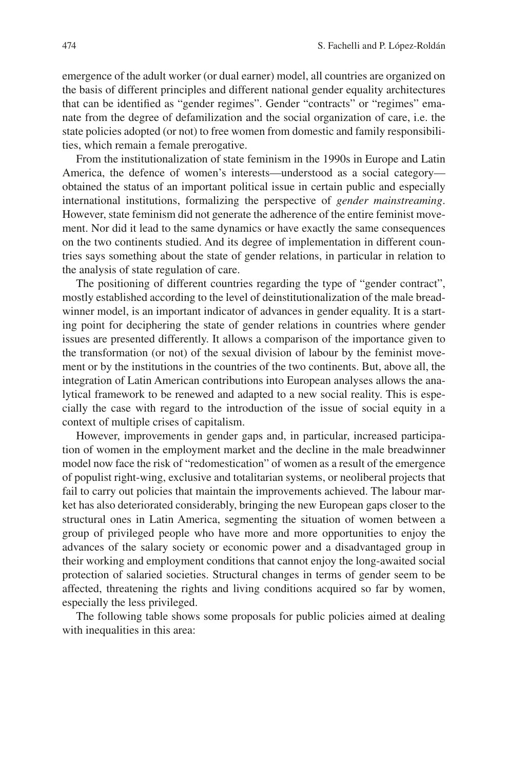emergence of the adult worker (or dual earner) model, all countries are organized on the basis of different principles and different national gender equality architectures that can be identified as "gender regimes". Gender "contracts" or "regimes" emanate from the degree of defamilization and the social organization of care, i.e. the state policies adopted (or not) to free women from domestic and family responsibilities, which remain a female prerogative.

From the institutionalization of state feminism in the 1990s in Europe and Latin America, the defence of women's interests—understood as a social category obtained the status of an important political issue in certain public and especially international institutions, formalizing the perspective of *gender mainstreaming*. However, state feminism did not generate the adherence of the entire feminist movement. Nor did it lead to the same dynamics or have exactly the same consequences on the two continents studied. And its degree of implementation in different countries says something about the state of gender relations, in particular in relation to the analysis of state regulation of care.

The positioning of different countries regarding the type of "gender contract", mostly established according to the level of deinstitutionalization of the male breadwinner model, is an important indicator of advances in gender equality. It is a starting point for deciphering the state of gender relations in countries where gender issues are presented differently. It allows a comparison of the importance given to the transformation (or not) of the sexual division of labour by the feminist movement or by the institutions in the countries of the two continents. But, above all, the integration of Latin American contributions into European analyses allows the analytical framework to be renewed and adapted to a new social reality. This is especially the case with regard to the introduction of the issue of social equity in a context of multiple crises of capitalism.

However, improvements in gender gaps and, in particular, increased participation of women in the employment market and the decline in the male breadwinner model now face the risk of "redomestication" of women as a result of the emergence of populist right-wing, exclusive and totalitarian systems, or neoliberal projects that fail to carry out policies that maintain the improvements achieved. The labour market has also deteriorated considerably, bringing the new European gaps closer to the structural ones in Latin America, segmenting the situation of women between a group of privileged people who have more and more opportunities to enjoy the advances of the salary society or economic power and a disadvantaged group in their working and employment conditions that cannot enjoy the long-awaited social protection of salaried societies. Structural changes in terms of gender seem to be affected, threatening the rights and living conditions acquired so far by women, especially the less privileged.

The following table shows some proposals for public policies aimed at dealing with inequalities in this area: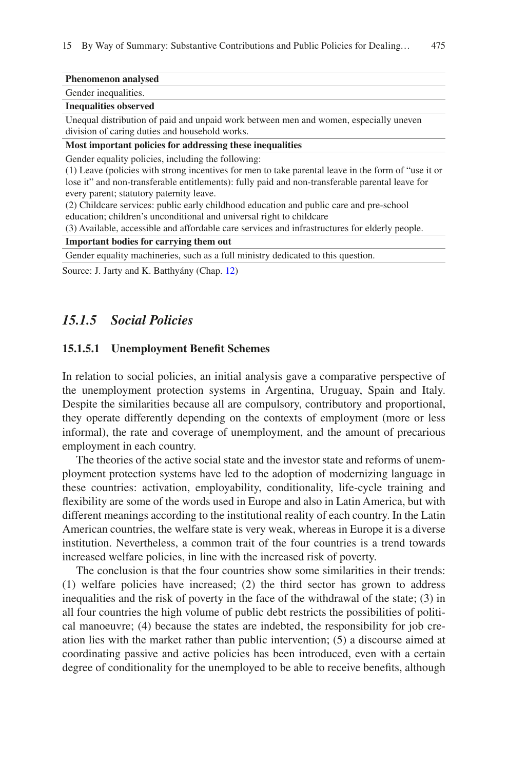| <b>Phenomenon analysed</b>                                                                                                                                                                                                                                                                                                                                                                                                                                                                                                                                                    |
|-------------------------------------------------------------------------------------------------------------------------------------------------------------------------------------------------------------------------------------------------------------------------------------------------------------------------------------------------------------------------------------------------------------------------------------------------------------------------------------------------------------------------------------------------------------------------------|
| Gender inequalities.                                                                                                                                                                                                                                                                                                                                                                                                                                                                                                                                                          |
| <b>Inequalities observed</b>                                                                                                                                                                                                                                                                                                                                                                                                                                                                                                                                                  |
| Unequal distribution of paid and unpaid work between men and women, especially uneven<br>division of caring duties and household works.                                                                                                                                                                                                                                                                                                                                                                                                                                       |
| Most important policies for addressing these inequalities                                                                                                                                                                                                                                                                                                                                                                                                                                                                                                                     |
| Gender equality policies, including the following:<br>(1) Leave (policies with strong incentives for men to take parental leave in the form of "use it or<br>lose it" and non-transferable entitlements): fully paid and non-transferable parental leave for<br>every parent; statutory paternity leave.<br>(2) Childcare services: public early childhood education and public care and pre-school<br>education; children's unconditional and universal right to childcare<br>(3) Available, accessible and affordable care services and infrastructures for elderly people. |
| Important bodies for carrying them out                                                                                                                                                                                                                                                                                                                                                                                                                                                                                                                                        |
| Gender equality machineries, such as a full ministry dedicated to this question.                                                                                                                                                                                                                                                                                                                                                                                                                                                                                              |
| Source: J. Jarty and K. Batthyány (Chap. 12)                                                                                                                                                                                                                                                                                                                                                                                                                                                                                                                                  |

# *15.1.5 Social Policies*

### **15.1.5.1 Unemployment Benefit Schemes**

In relation to social policies, an initial analysis gave a comparative perspective of the unemployment protection systems in Argentina, Uruguay, Spain and Italy. Despite the similarities because all are compulsory, contributory and proportional, they operate differently depending on the contexts of employment (more or less informal), the rate and coverage of unemployment, and the amount of precarious employment in each country.

The theories of the active social state and the investor state and reforms of unemployment protection systems have led to the adoption of modernizing language in these countries: activation, employability, conditionality, life-cycle training and flexibility are some of the words used in Europe and also in Latin America, but with different meanings according to the institutional reality of each country. In the Latin American countries, the welfare state is very weak, whereas in Europe it is a diverse institution. Nevertheless, a common trait of the four countries is a trend towards increased welfare policies, in line with the increased risk of poverty.

The conclusion is that the four countries show some similarities in their trends: (1) welfare policies have increased; (2) the third sector has grown to address inequalities and the risk of poverty in the face of the withdrawal of the state; (3) in all four countries the high volume of public debt restricts the possibilities of political manoeuvre; (4) because the states are indebted, the responsibility for job creation lies with the market rather than public intervention; (5) a discourse aimed at coordinating passive and active policies has been introduced, even with a certain degree of conditionality for the unemployed to be able to receive benefits, although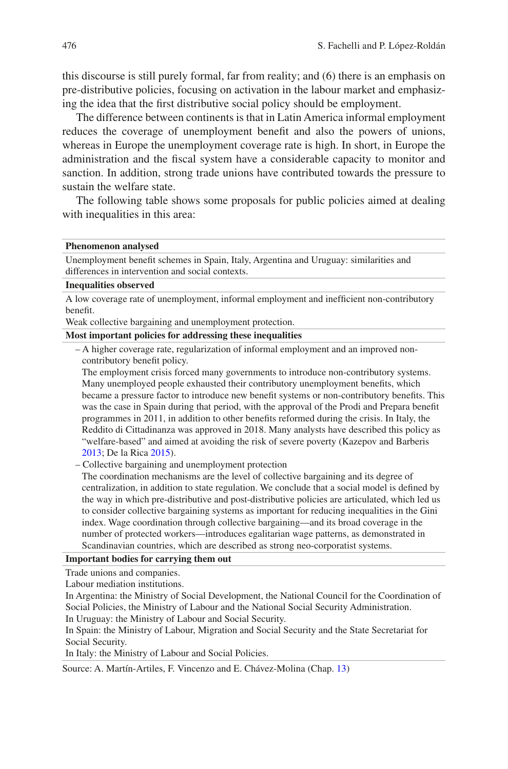this discourse is still purely formal, far from reality; and (6) there is an emphasis on pre-distributive policies, focusing on activation in the labour market and emphasizing the idea that the first distributive social policy should be employment.

The difference between continents is that in Latin America informal employment reduces the coverage of unemployment benefit and also the powers of unions, whereas in Europe the unemployment coverage rate is high. In short, in Europe the administration and the fiscal system have a considerable capacity to monitor and sanction. In addition, strong trade unions have contributed towards the pressure to sustain the welfare state.

The following table shows some proposals for public policies aimed at dealing with inequalities in this area:

| <b>Phenomenon</b> analysed |  |
|----------------------------|--|
|----------------------------|--|

Unemployment benefit schemes in Spain, Italy, Argentina and Uruguay: similarities and differences in intervention and social contexts.

#### **Inequalities observed**

A low coverage rate of unemployment, informal employment and inefficient non-contributory benefit.

Weak collective bargaining and unemployment protection.

### **Most important policies for addressing these inequalities**

 – A higher coverage rate, regularization of informal employment and an improved noncontributory benefit policy.

The employment crisis forced many governments to introduce non-contributory systems. Many unemployed people exhausted their contributory unemployment benefits, which became a pressure factor to introduce new benefit systems or non-contributory benefits. This was the case in Spain during that period, with the approval of the Prodi and Prepara benefit programmes in 2011, in addition to other benefits reformed during the crisis. In Italy, the Reddito di Cittadinanza was approved in 2018. Many analysts have described this policy as "welfare-based" and aimed at avoiding the risk of severe poverty (Kazepov and Barberis [2013;](#page-25-3) De la Rica [2015](#page-25-4)).

– Collective bargaining and unemployment protection

The coordination mechanisms are the level of collective bargaining and its degree of centralization, in addition to state regulation. We conclude that a social model is defined by the way in which pre-distributive and post-distributive policies are articulated, which led us to consider collective bargaining systems as important for reducing inequalities in the Gini index. Wage coordination through collective bargaining—and its broad coverage in the number of protected workers—introduces egalitarian wage patterns, as demonstrated in Scandinavian countries, which are described as strong neo-corporatist systems.

### **Important bodies for carrying them out**

Trade unions and companies.

Labour mediation institutions.

In Argentina: the Ministry of Social Development, the National Council for the Coordination of Social Policies, the Ministry of Labour and the National Social Security Administration. In Uruguay: the Ministry of Labour and Social Security.

In Spain: the Ministry of Labour, Migration and Social Security and the State Secretariat for Social Security.

In Italy: the Ministry of Labour and Social Policies.

Source: A. Martín-Artiles, F. Vincenzo and E. Chávez-Molina (Chap. [13\)](https://doi.org/10.1007/978-3-030-48442-2_13)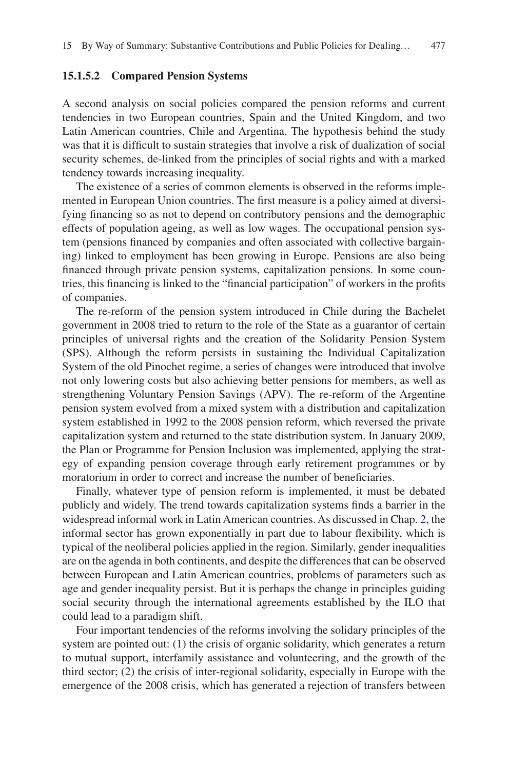#### **15.1.5.2 Compared Pension Systems**

A second analysis on social policies compared the pension reforms and current tendencies in two European countries, Spain and the United Kingdom, and two Latin American countries, Chile and Argentina. The hypothesis behind the study was that it is difficult to sustain strategies that involve a risk of dualization of social security schemes, de-linked from the principles of social rights and with a marked tendency towards increasing inequality.

The existence of a series of common elements is observed in the reforms implemented in European Union countries. The first measure is a policy aimed at diversifying financing so as not to depend on contributory pensions and the demographic effects of population ageing, as well as low wages. The occupational pension system (pensions financed by companies and often associated with collective bargaining) linked to employment has been growing in Europe. Pensions are also being financed through private pension systems, capitalization pensions. In some countries, this financing is linked to the "financial participation" of workers in the profits of companies.

The re-reform of the pension system introduced in Chile during the Bachelet government in 2008 tried to return to the role of the State as a guarantor of certain principles of universal rights and the creation of the Solidarity Pension System (SPS). Although the reform persists in sustaining the Individual Capitalization System of the old Pinochet regime, a series of changes were introduced that involve not only lowering costs but also achieving better pensions for members, as well as strengthening Voluntary Pension Savings (APV). The re-reform of the Argentine pension system evolved from a mixed system with a distribution and capitalization system established in 1992 to the 2008 pension reform, which reversed the private capitalization system and returned to the state distribution system. In January 2009, the Plan or Programme for Pension Inclusion was implemented, applying the strategy of expanding pension coverage through early retirement programmes or by moratorium in order to correct and increase the number of beneficiaries.

Finally, whatever type of pension reform is implemented, it must be debated publicly and widely. The trend towards capitalization systems finds a barrier in the widespread informal work in Latin American countries. As discussed in Chap. [2,](https://doi.org/10.1007/978-3-030-48442-2_2) the informal sector has grown exponentially in part due to labour flexibility, which is typical of the neoliberal policies applied in the region. Similarly, gender inequalities are on the agenda in both continents, and despite the differences that can be observed between European and Latin American countries, problems of parameters such as age and gender inequality persist. But it is perhaps the change in principles guiding social security through the international agreements established by the ILO that could lead to a paradigm shift.

Four important tendencies of the reforms involving the solidary principles of the system are pointed out: (1) the crisis of organic solidarity, which generates a return to mutual support, interfamily assistance and volunteering, and the growth of the third sector; (2) the crisis of inter-regional solidarity, especially in Europe with the emergence of the 2008 crisis, which has generated a rejection of transfers between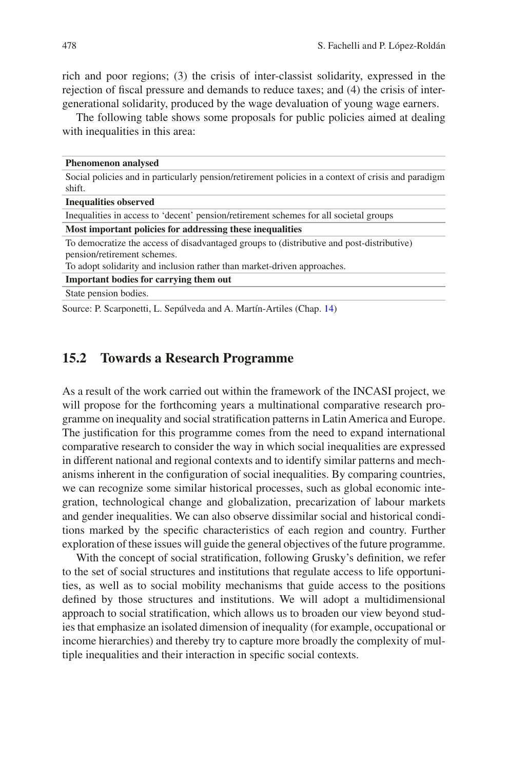rich and poor regions; (3) the crisis of inter-classist solidarity, expressed in the rejection of fiscal pressure and demands to reduce taxes; and (4) the crisis of intergenerational solidarity, produced by the wage devaluation of young wage earners.

The following table shows some proposals for public policies aimed at dealing with inequalities in this area:

| <b>Phenomenon analysed</b>                                                                                                                                                                          |
|-----------------------------------------------------------------------------------------------------------------------------------------------------------------------------------------------------|
| Social policies and in particularly pension/retirement policies in a context of crisis and paradigm<br>shift.                                                                                       |
| <b>Inequalities observed</b>                                                                                                                                                                        |
| Inequalities in access to 'decent' pension/retirement schemes for all societal groups                                                                                                               |
| Most important policies for addressing these inequalities                                                                                                                                           |
| To democratize the access of disadvantaged groups to (distributive and post-distributive)<br>pension/retirement schemes.<br>To adopt solidarity and inclusion rather than market-driven approaches. |
| Important bodies for carrying them out                                                                                                                                                              |
| State pension bodies.                                                                                                                                                                               |
|                                                                                                                                                                                                     |

Source: P. Scarponetti, L. Sepúlveda and A. Martín-Artiles (Chap. [14\)](https://doi.org/10.1007/978-3-030-48442-2_14)

# **15.2 Towards a Research Programme**

As a result of the work carried out within the framework of the INCASI project, we will propose for the forthcoming years a multinational comparative research programme on inequality and social stratification patterns in Latin America and Europe. The justification for this programme comes from the need to expand international comparative research to consider the way in which social inequalities are expressed in different national and regional contexts and to identify similar patterns and mechanisms inherent in the configuration of social inequalities. By comparing countries, we can recognize some similar historical processes, such as global economic integration, technological change and globalization, precarization of labour markets and gender inequalities. We can also observe dissimilar social and historical conditions marked by the specific characteristics of each region and country. Further exploration of these issues will guide the general objectives of the future programme.

With the concept of social stratification, following Grusky's definition, we refer to the set of social structures and institutions that regulate access to life opportunities, as well as to social mobility mechanisms that guide access to the positions defined by those structures and institutions. We will adopt a multidimensional approach to social stratification, which allows us to broaden our view beyond studies that emphasize an isolated dimension of inequality (for example, occupational or income hierarchies) and thereby try to capture more broadly the complexity of multiple inequalities and their interaction in specific social contexts.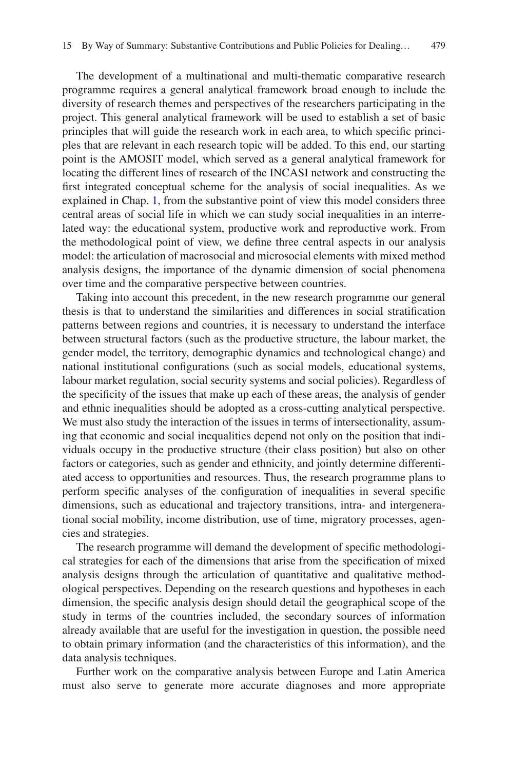The development of a multinational and multi-thematic comparative research programme requires a general analytical framework broad enough to include the diversity of research themes and perspectives of the researchers participating in the project. This general analytical framework will be used to establish a set of basic principles that will guide the research work in each area, to which specific principles that are relevant in each research topic will be added. To this end, our starting point is the AMOSIT model, which served as a general analytical framework for locating the different lines of research of the INCASI network and constructing the first integrated conceptual scheme for the analysis of social inequalities. As we explained in Chap. [1](https://doi.org/10.1007/978-3-030-48442-2_1), from the substantive point of view this model considers three central areas of social life in which we can study social inequalities in an interrelated way: the educational system, productive work and reproductive work. From the methodological point of view, we define three central aspects in our analysis model: the articulation of macrosocial and microsocial elements with mixed method analysis designs, the importance of the dynamic dimension of social phenomena over time and the comparative perspective between countries.

Taking into account this precedent, in the new research programme our general thesis is that to understand the similarities and differences in social stratification patterns between regions and countries, it is necessary to understand the interface between structural factors (such as the productive structure, the labour market, the gender model, the territory, demographic dynamics and technological change) and national institutional configurations (such as social models, educational systems, labour market regulation, social security systems and social policies). Regardless of the specificity of the issues that make up each of these areas, the analysis of gender and ethnic inequalities should be adopted as a cross-cutting analytical perspective. We must also study the interaction of the issues in terms of intersectionality, assuming that economic and social inequalities depend not only on the position that individuals occupy in the productive structure (their class position) but also on other factors or categories, such as gender and ethnicity, and jointly determine differentiated access to opportunities and resources. Thus, the research programme plans to perform specific analyses of the configuration of inequalities in several specific dimensions, such as educational and trajectory transitions, intra- and intergenerational social mobility, income distribution, use of time, migratory processes, agencies and strategies.

The research programme will demand the development of specific methodological strategies for each of the dimensions that arise from the specification of mixed analysis designs through the articulation of quantitative and qualitative methodological perspectives. Depending on the research questions and hypotheses in each dimension, the specific analysis design should detail the geographical scope of the study in terms of the countries included, the secondary sources of information already available that are useful for the investigation in question, the possible need to obtain primary information (and the characteristics of this information), and the data analysis techniques.

Further work on the comparative analysis between Europe and Latin America must also serve to generate more accurate diagnoses and more appropriate